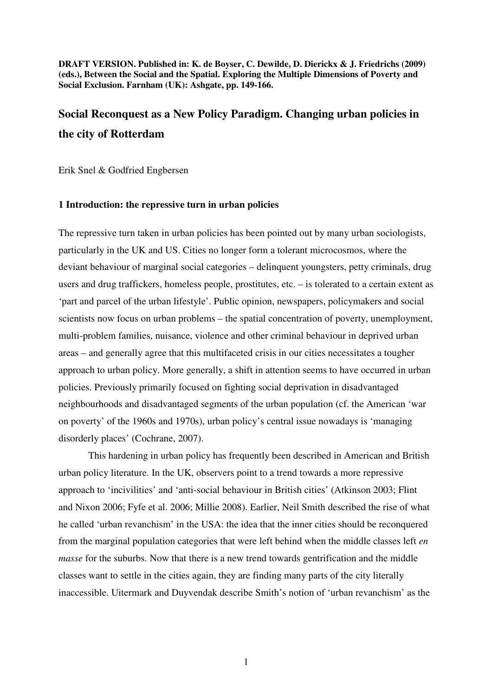**DRAFT VERSION. Published in: K. de Boyser, C. Dewilde, D. Dierickx & J. Friedrichs (2009) (eds.), Between the Social and the Spatial. Exploring the Multiple Dimensions of Poverty and Social Exclusion. Farnham (UK): Ashgate, pp. 149-166.** 

# **Social Reconquest as a New Policy Paradigm. Changing urban policies in the city of Rotterdam**

Erik Snel & Godfried Engbersen

#### **1 Introduction: the repressive turn in urban policies**

The repressive turn taken in urban policies has been pointed out by many urban sociologists, particularly in the UK and US. Cities no longer form a tolerant microcosmos, where the deviant behaviour of marginal social categories – delinquent youngsters, petty criminals, drug users and drug traffickers, homeless people, prostitutes, etc. – is tolerated to a certain extent as 'part and parcel of the urban lifestyle'. Public opinion, newspapers, policymakers and social scientists now focus on urban problems – the spatial concentration of poverty, unemployment, multi-problem families, nuisance, violence and other criminal behaviour in deprived urban areas – and generally agree that this multifaceted crisis in our cities necessitates a tougher approach to urban policy. More generally, a shift in attention seems to have occurred in urban policies. Previously primarily focused on fighting social deprivation in disadvantaged neighbourhoods and disadvantaged segments of the urban population (cf. the American 'war on poverty' of the 1960s and 1970s), urban policy's central issue nowadays is 'managing disorderly places' (Cochrane, 2007).

This hardening in urban policy has frequently been described in American and British urban policy literature. In the UK, observers point to a trend towards a more repressive approach to 'incivilities' and 'anti-social behaviour in British cities' (Atkinson 2003; Flint and Nixon 2006; Fyfe et al. 2006; Millie 2008). Earlier, Neil Smith described the rise of what he called 'urban revanchism' in the USA: the idea that the inner cities should be reconquered from the marginal population categories that were left behind when the middle classes left *en masse* for the suburbs. Now that there is a new trend towards gentrification and the middle classes want to settle in the cities again, they are finding many parts of the city literally inaccessible. Uitermark and Duyvendak describe Smith's notion of 'urban revanchism' as the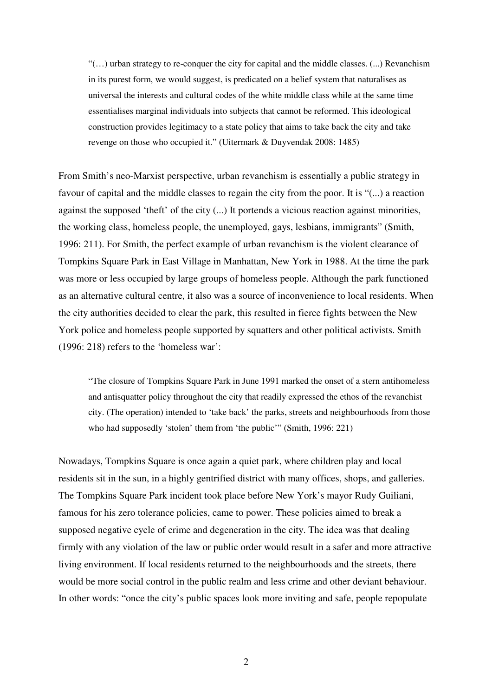"(…) urban strategy to re-conquer the city for capital and the middle classes. (...) Revanchism in its purest form, we would suggest, is predicated on a belief system that naturalises as universal the interests and cultural codes of the white middle class while at the same time essentialises marginal individuals into subjects that cannot be reformed. This ideological construction provides legitimacy to a state policy that aims to take back the city and take revenge on those who occupied it." (Uitermark & Duyvendak 2008: 1485)

From Smith's neo-Marxist perspective, urban revanchism is essentially a public strategy in favour of capital and the middle classes to regain the city from the poor. It is "(...) a reaction against the supposed 'theft' of the city (...) It portends a vicious reaction against minorities, the working class, homeless people, the unemployed, gays, lesbians, immigrants" (Smith, 1996: 211). For Smith, the perfect example of urban revanchism is the violent clearance of Tompkins Square Park in East Village in Manhattan, New York in 1988. At the time the park was more or less occupied by large groups of homeless people. Although the park functioned as an alternative cultural centre, it also was a source of inconvenience to local residents. When the city authorities decided to clear the park, this resulted in fierce fights between the New York police and homeless people supported by squatters and other political activists. Smith (1996: 218) refers to the 'homeless war':

"The closure of Tompkins Square Park in June 1991 marked the onset of a stern antihomeless and antisquatter policy throughout the city that readily expressed the ethos of the revanchist city. (The operation) intended to 'take back' the parks, streets and neighbourhoods from those who had supposedly 'stolen' them from 'the public'" (Smith, 1996: 221)

Nowadays, Tompkins Square is once again a quiet park, where children play and local residents sit in the sun, in a highly gentrified district with many offices, shops, and galleries. The Tompkins Square Park incident took place before New York's mayor Rudy Guiliani, famous for his zero tolerance policies, came to power. These policies aimed to break a supposed negative cycle of crime and degeneration in the city. The idea was that dealing firmly with any violation of the law or public order would result in a safer and more attractive living environment. If local residents returned to the neighbourhoods and the streets, there would be more social control in the public realm and less crime and other deviant behaviour. In other words: "once the city's public spaces look more inviting and safe, people repopulate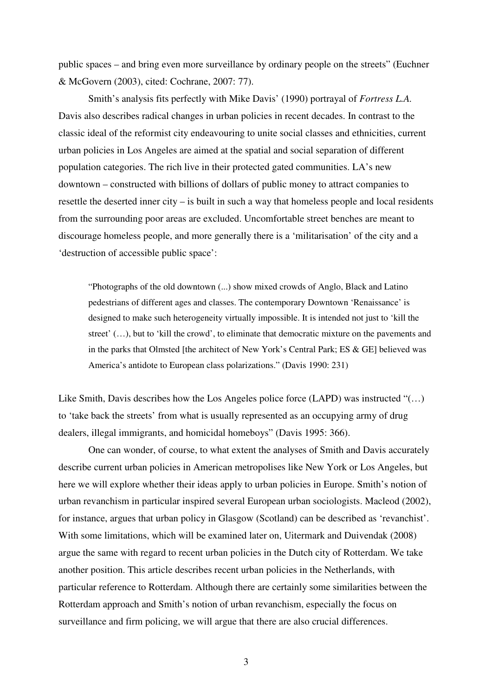public spaces – and bring even more surveillance by ordinary people on the streets" (Euchner & McGovern (2003), cited: Cochrane, 2007: 77).

 Smith's analysis fits perfectly with Mike Davis' (1990) portrayal of *Fortress L.A.* Davis also describes radical changes in urban policies in recent decades. In contrast to the classic ideal of the reformist city endeavouring to unite social classes and ethnicities, current urban policies in Los Angeles are aimed at the spatial and social separation of different population categories. The rich live in their protected gated communities. LA's new downtown – constructed with billions of dollars of public money to attract companies to resettle the deserted inner city – is built in such a way that homeless people and local residents from the surrounding poor areas are excluded. Uncomfortable street benches are meant to discourage homeless people, and more generally there is a 'militarisation' of the city and a 'destruction of accessible public space':

"Photographs of the old downtown (...) show mixed crowds of Anglo, Black and Latino pedestrians of different ages and classes. The contemporary Downtown 'Renaissance' is designed to make such heterogeneity virtually impossible. It is intended not just to 'kill the street' (…), but to 'kill the crowd', to eliminate that democratic mixture on the pavements and in the parks that Olmsted [the architect of New York's Central Park; ES & GE] believed was America's antidote to European class polarizations." (Davis 1990: 231)

Like Smith, Davis describes how the Los Angeles police force (LAPD) was instructed "(...) to 'take back the streets' from what is usually represented as an occupying army of drug dealers, illegal immigrants, and homicidal homeboys" (Davis 1995: 366).

 One can wonder, of course, to what extent the analyses of Smith and Davis accurately describe current urban policies in American metropolises like New York or Los Angeles, but here we will explore whether their ideas apply to urban policies in Europe. Smith's notion of urban revanchism in particular inspired several European urban sociologists. Macleod (2002), for instance, argues that urban policy in Glasgow (Scotland) can be described as 'revanchist'. With some limitations, which will be examined later on, Uitermark and Duivendak (2008) argue the same with regard to recent urban policies in the Dutch city of Rotterdam. We take another position. This article describes recent urban policies in the Netherlands, with particular reference to Rotterdam. Although there are certainly some similarities between the Rotterdam approach and Smith's notion of urban revanchism, especially the focus on surveillance and firm policing, we will argue that there are also crucial differences.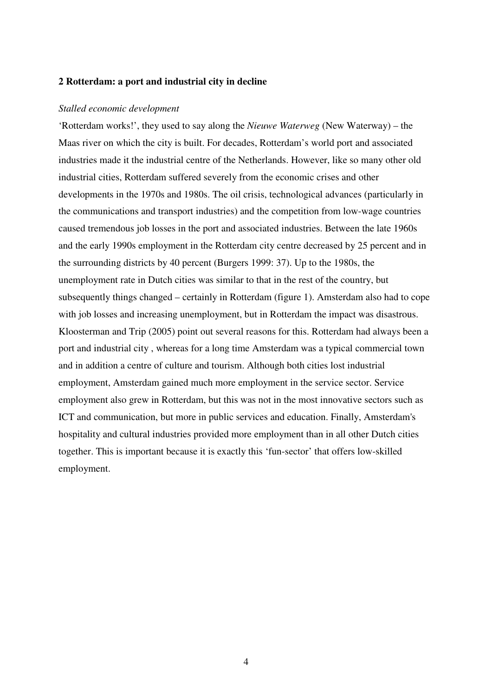# **2 Rotterdam: a port and industrial city in decline**

#### *Stalled economic development*

'Rotterdam works!', they used to say along the *Nieuwe Waterweg* (New Waterway) – the Maas river on which the city is built. For decades, Rotterdam's world port and associated industries made it the industrial centre of the Netherlands. However, like so many other old industrial cities, Rotterdam suffered severely from the economic crises and other developments in the 1970s and 1980s. The oil crisis, technological advances (particularly in the communications and transport industries) and the competition from low-wage countries caused tremendous job losses in the port and associated industries. Between the late 1960s and the early 1990s employment in the Rotterdam city centre decreased by 25 percent and in the surrounding districts by 40 percent (Burgers 1999: 37). Up to the 1980s, the unemployment rate in Dutch cities was similar to that in the rest of the country, but subsequently things changed – certainly in Rotterdam (figure 1). Amsterdam also had to cope with job losses and increasing unemployment, but in Rotterdam the impact was disastrous. Kloosterman and Trip (2005) point out several reasons for this. Rotterdam had always been a port and industrial city , whereas for a long time Amsterdam was a typical commercial town and in addition a centre of culture and tourism. Although both cities lost industrial employment, Amsterdam gained much more employment in the service sector. Service employment also grew in Rotterdam, but this was not in the most innovative sectors such as ICT and communication, but more in public services and education. Finally, Amsterdam's hospitality and cultural industries provided more employment than in all other Dutch cities together. This is important because it is exactly this 'fun-sector' that offers low-skilled employment.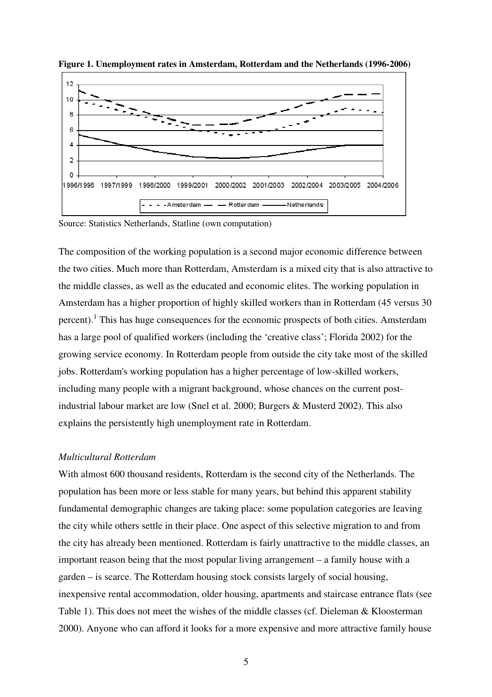

**Figure 1. Unemployment rates in Amsterdam, Rotterdam and the Netherlands (1996-2006)**

Source: Statistics Netherlands, Statline (own computation)

The composition of the working population is a second major economic difference between the two cities. Much more than Rotterdam, Amsterdam is a mixed city that is also attractive to the middle classes, as well as the educated and economic elites. The working population in Amsterdam has a higher proportion of highly skilled workers than in Rotterdam (45 versus 30 percent).<sup>1</sup> This has huge consequences for the economic prospects of both cities. Amsterdam has a large pool of qualified workers (including the 'creative class'; Florida 2002) for the growing service economy. In Rotterdam people from outside the city take most of the skilled jobs. Rotterdam's working population has a higher percentage of low-skilled workers, including many people with a migrant background, whose chances on the current postindustrial labour market are low (Snel et al. 2000; Burgers & Musterd 2002). This also explains the persistently high unemployment rate in Rotterdam.

# *Multicultural Rotterdam*

With almost 600 thousand residents, Rotterdam is the second city of the Netherlands. The population has been more or less stable for many years, but behind this apparent stability fundamental demographic changes are taking place: some population categories are leaving the city while others settle in their place. One aspect of this selective migration to and from the city has already been mentioned. Rotterdam is fairly unattractive to the middle classes, an important reason being that the most popular living arrangement – a family house with a garden – is scarce. The Rotterdam housing stock consists largely of social housing, inexpensive rental accommodation, older housing, apartments and staircase entrance flats (see Table 1). This does not meet the wishes of the middle classes (cf. Dieleman & Kloosterman 2000). Anyone who can afford it looks for a more expensive and more attractive family house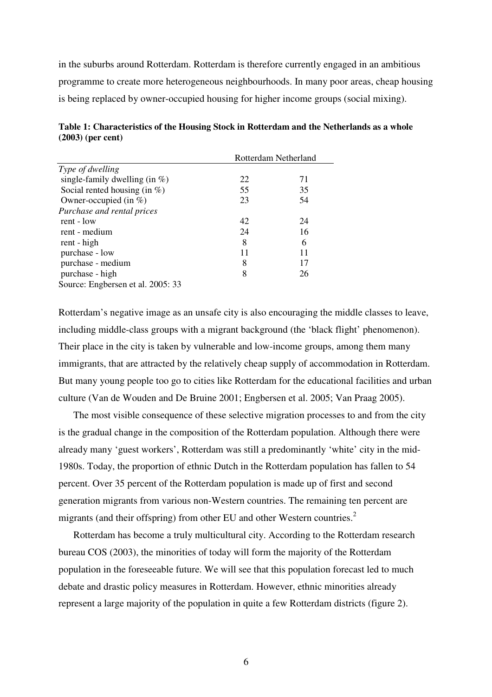in the suburbs around Rotterdam. Rotterdam is therefore currently engaged in an ambitious programme to create more heterogeneous neighbourhoods. In many poor areas, cheap housing is being replaced by owner-occupied housing for higher income groups (social mixing).

|                                   | Rotterdam Netherland |    |
|-----------------------------------|----------------------|----|
| Type of dwelling                  |                      |    |
| single-family dwelling (in $\%$ ) | 22                   | 71 |
| Social rented housing (in $\%$ )  | 55                   | 35 |
| Owner-occupied (in $\%$ )         | 23                   | 54 |
| Purchase and rental prices        |                      |    |
| rent - low                        | 42                   | 24 |
| rent - medium                     | 24                   | 16 |
| rent - high                       | 8                    | 6  |
| purchase - low                    | 11                   | 11 |
| purchase - medium                 | 8                    | 17 |
| purchase - high                   | 8                    | 26 |
| Source: Engbersen et al. 2005: 33 |                      |    |

| Table 1: Characteristics of the Housing Stock in Rotterdam and the Netherlands as a whole |  |
|-------------------------------------------------------------------------------------------|--|
| $(2003)$ (per cent)                                                                       |  |

Rotterdam's negative image as an unsafe city is also encouraging the middle classes to leave, including middle-class groups with a migrant background (the 'black flight' phenomenon). Their place in the city is taken by vulnerable and low-income groups, among them many immigrants, that are attracted by the relatively cheap supply of accommodation in Rotterdam. But many young people too go to cities like Rotterdam for the educational facilities and urban culture (Van de Wouden and De Bruine 2001; Engbersen et al. 2005; Van Praag 2005).

The most visible consequence of these selective migration processes to and from the city is the gradual change in the composition of the Rotterdam population. Although there were already many 'guest workers', Rotterdam was still a predominantly 'white' city in the mid-1980s. Today, the proportion of ethnic Dutch in the Rotterdam population has fallen to 54 percent. Over 35 percent of the Rotterdam population is made up of first and second generation migrants from various non-Western countries. The remaining ten percent are migrants (and their offspring) from other EU and other Western countries.<sup>2</sup>

Rotterdam has become a truly multicultural city. According to the Rotterdam research bureau COS (2003), the minorities of today will form the majority of the Rotterdam population in the foreseeable future. We will see that this population forecast led to much debate and drastic policy measures in Rotterdam. However, ethnic minorities already represent a large majority of the population in quite a few Rotterdam districts (figure 2).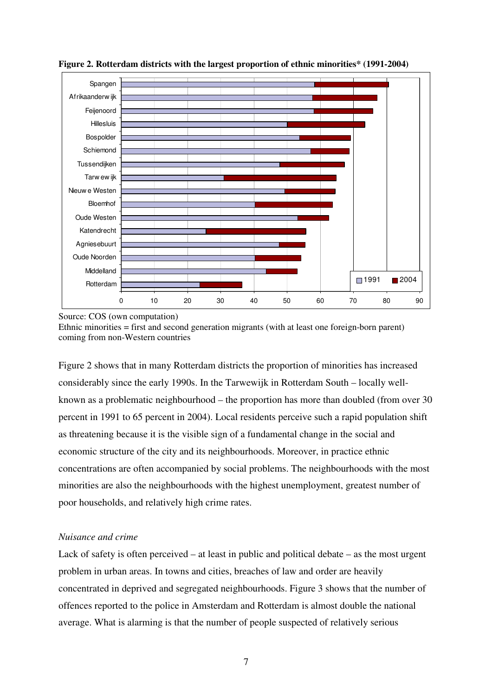

**Figure 2. Rotterdam districts with the largest proportion of ethnic minorities\* (1991-2004)**

Source: COS (own computation)

Ethnic minorities = first and second generation migrants (with at least one foreign-born parent) coming from non-Western countries

Figure 2 shows that in many Rotterdam districts the proportion of minorities has increased considerably since the early 1990s. In the Tarwewijk in Rotterdam South – locally wellknown as a problematic neighbourhood – the proportion has more than doubled (from over 30 percent in 1991 to 65 percent in 2004). Local residents perceive such a rapid population shift as threatening because it is the visible sign of a fundamental change in the social and economic structure of the city and its neighbourhoods. Moreover, in practice ethnic concentrations are often accompanied by social problems. The neighbourhoods with the most minorities are also the neighbourhoods with the highest unemployment, greatest number of poor households, and relatively high crime rates.

# *Nuisance and crime*

Lack of safety is often perceived – at least in public and political debate – as the most urgent problem in urban areas. In towns and cities, breaches of law and order are heavily concentrated in deprived and segregated neighbourhoods. Figure 3 shows that the number of offences reported to the police in Amsterdam and Rotterdam is almost double the national average. What is alarming is that the number of people suspected of relatively serious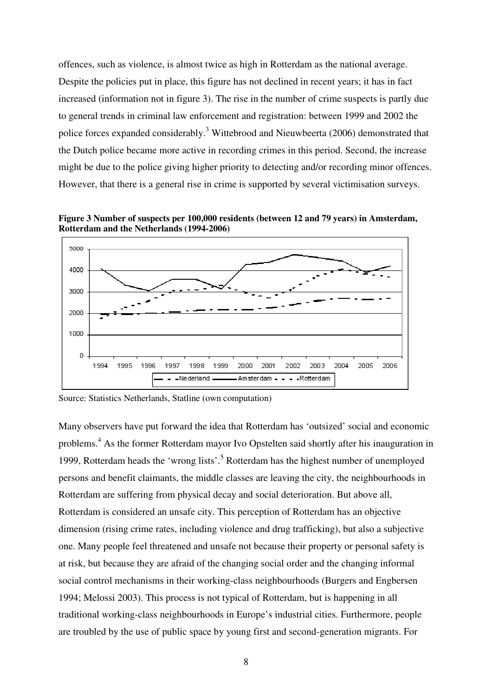offences, such as violence, is almost twice as high in Rotterdam as the national average. Despite the policies put in place, this figure has not declined in recent years; it has in fact increased (information not in figure 3). The rise in the number of crime suspects is partly due to general trends in criminal law enforcement and registration: between 1999 and 2002 the police forces expanded considerably.<sup>3</sup> Wittebrood and Nieuwbeerta (2006) demonstrated that the Dutch police became more active in recording crimes in this period. Second, the increase might be due to the police giving higher priority to detecting and/or recording minor offences. However, that there is a general rise in crime is supported by several victimisation surveys.

**Figure 3 Number of suspects per 100,000 residents (between 12 and 79 years) in Amsterdam, Rotterdam and the Netherlands (1994-2006)**



Source: Statistics Netherlands, Statline (own computation)

Many observers have put forward the idea that Rotterdam has 'outsized' social and economic problems.<sup>4</sup> As the former Rotterdam mayor Ivo Opstelten said shortly after his inauguration in 1999, Rotterdam heads the 'wrong lists'.<sup>5</sup> Rotterdam has the highest number of unemployed persons and benefit claimants, the middle classes are leaving the city, the neighbourhoods in Rotterdam are suffering from physical decay and social deterioration. But above all, Rotterdam is considered an unsafe city. This perception of Rotterdam has an objective dimension (rising crime rates, including violence and drug trafficking), but also a subjective one. Many people feel threatened and unsafe not because their property or personal safety is at risk, but because they are afraid of the changing social order and the changing informal social control mechanisms in their working-class neighbourhoods (Burgers and Engbersen 1994; Melossi 2003). This process is not typical of Rotterdam, but is happening in all traditional working-class neighbourhoods in Europe's industrial cities. Furthermore, people are troubled by the use of public space by young first and second-generation migrants. For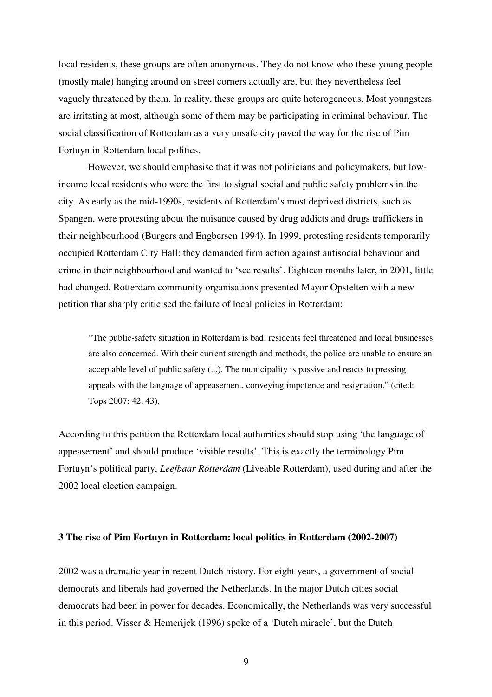local residents, these groups are often anonymous. They do not know who these young people (mostly male) hanging around on street corners actually are, but they nevertheless feel vaguely threatened by them. In reality, these groups are quite heterogeneous. Most youngsters are irritating at most, although some of them may be participating in criminal behaviour. The social classification of Rotterdam as a very unsafe city paved the way for the rise of Pim Fortuyn in Rotterdam local politics.

 However, we should emphasise that it was not politicians and policymakers, but lowincome local residents who were the first to signal social and public safety problems in the city. As early as the mid-1990s, residents of Rotterdam's most deprived districts, such as Spangen, were protesting about the nuisance caused by drug addicts and drugs traffickers in their neighbourhood (Burgers and Engbersen 1994). In 1999, protesting residents temporarily occupied Rotterdam City Hall: they demanded firm action against antisocial behaviour and crime in their neighbourhood and wanted to 'see results'. Eighteen months later, in 2001, little had changed. Rotterdam community organisations presented Mayor Opstelten with a new petition that sharply criticised the failure of local policies in Rotterdam:

"The public-safety situation in Rotterdam is bad; residents feel threatened and local businesses are also concerned. With their current strength and methods, the police are unable to ensure an acceptable level of public safety (...). The municipality is passive and reacts to pressing appeals with the language of appeasement, conveying impotence and resignation." (cited: Tops 2007: 42, 43).

According to this petition the Rotterdam local authorities should stop using 'the language of appeasement' and should produce 'visible results'. This is exactly the terminology Pim Fortuyn's political party, *Leefbaar Rotterdam* (Liveable Rotterdam), used during and after the 2002 local election campaign.

#### **3 The rise of Pim Fortuyn in Rotterdam: local politics in Rotterdam (2002-2007)**

2002 was a dramatic year in recent Dutch history. For eight years, a government of social democrats and liberals had governed the Netherlands. In the major Dutch cities social democrats had been in power for decades. Economically, the Netherlands was very successful in this period. Visser & Hemerijck (1996) spoke of a 'Dutch miracle', but the Dutch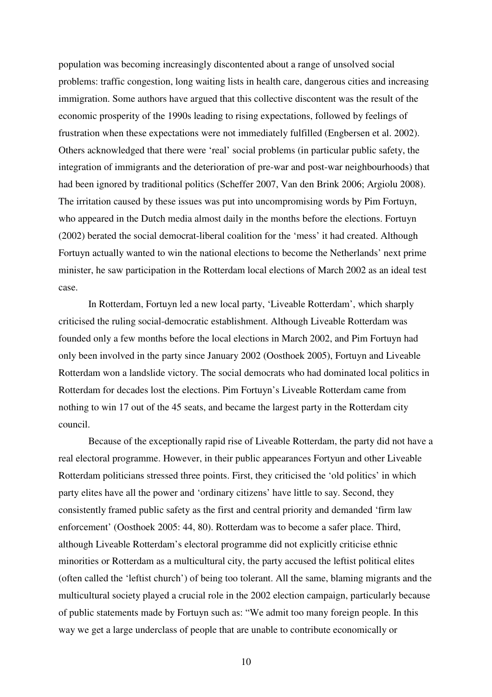population was becoming increasingly discontented about a range of unsolved social problems: traffic congestion, long waiting lists in health care, dangerous cities and increasing immigration. Some authors have argued that this collective discontent was the result of the economic prosperity of the 1990s leading to rising expectations, followed by feelings of frustration when these expectations were not immediately fulfilled (Engbersen et al. 2002). Others acknowledged that there were 'real' social problems (in particular public safety, the integration of immigrants and the deterioration of pre-war and post-war neighbourhoods) that had been ignored by traditional politics (Scheffer 2007, Van den Brink 2006; Argiolu 2008). The irritation caused by these issues was put into uncompromising words by Pim Fortuyn, who appeared in the Dutch media almost daily in the months before the elections. Fortuyn (2002) berated the social democrat-liberal coalition for the 'mess' it had created. Although Fortuyn actually wanted to win the national elections to become the Netherlands' next prime minister, he saw participation in the Rotterdam local elections of March 2002 as an ideal test case.

In Rotterdam, Fortuyn led a new local party, 'Liveable Rotterdam', which sharply criticised the ruling social-democratic establishment. Although Liveable Rotterdam was founded only a few months before the local elections in March 2002, and Pim Fortuyn had only been involved in the party since January 2002 (Oosthoek 2005), Fortuyn and Liveable Rotterdam won a landslide victory. The social democrats who had dominated local politics in Rotterdam for decades lost the elections. Pim Fortuyn's Liveable Rotterdam came from nothing to win 17 out of the 45 seats, and became the largest party in the Rotterdam city council.

Because of the exceptionally rapid rise of Liveable Rotterdam, the party did not have a real electoral programme. However, in their public appearances Fortyun and other Liveable Rotterdam politicians stressed three points. First, they criticised the 'old politics' in which party elites have all the power and 'ordinary citizens' have little to say. Second, they consistently framed public safety as the first and central priority and demanded 'firm law enforcement' (Oosthoek 2005: 44, 80). Rotterdam was to become a safer place. Third, although Liveable Rotterdam's electoral programme did not explicitly criticise ethnic minorities or Rotterdam as a multicultural city, the party accused the leftist political elites (often called the 'leftist church') of being too tolerant. All the same, blaming migrants and the multicultural society played a crucial role in the 2002 election campaign, particularly because of public statements made by Fortuyn such as: "We admit too many foreign people. In this way we get a large underclass of people that are unable to contribute economically or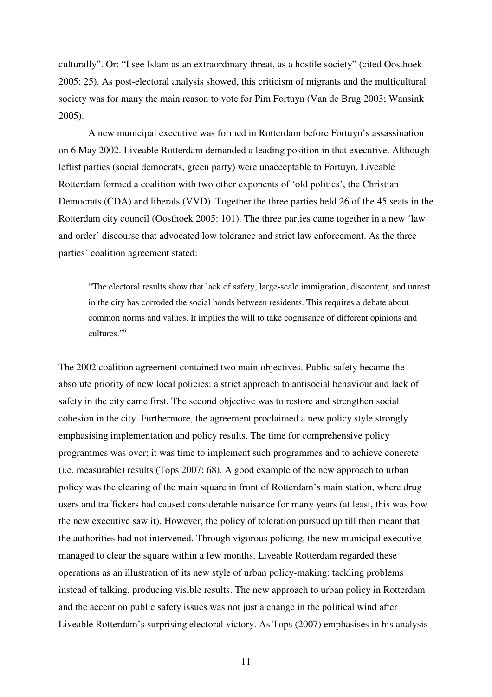culturally". Or: "I see Islam as an extraordinary threat, as a hostile society" (cited Oosthoek 2005: 25). As post-electoral analysis showed, this criticism of migrants and the multicultural society was for many the main reason to vote for Pim Fortuyn (Van de Brug 2003; Wansink 2005).

A new municipal executive was formed in Rotterdam before Fortuyn's assassination on 6 May 2002. Liveable Rotterdam demanded a leading position in that executive. Although leftist parties (social democrats, green party) were unacceptable to Fortuyn, Liveable Rotterdam formed a coalition with two other exponents of 'old politics', the Christian Democrats (CDA) and liberals (VVD). Together the three parties held 26 of the 45 seats in the Rotterdam city council (Oosthoek 2005: 101). The three parties came together in a new 'law and order' discourse that advocated low tolerance and strict law enforcement. As the three parties' coalition agreement stated:

"The electoral results show that lack of safety, large-scale immigration, discontent, and unrest in the city has corroded the social bonds between residents. This requires a debate about common norms and values. It implies the will to take cognisance of different opinions and cultures."<sup>6</sup>

The 2002 coalition agreement contained two main objectives. Public safety became the absolute priority of new local policies: a strict approach to antisocial behaviour and lack of safety in the city came first. The second objective was to restore and strengthen social cohesion in the city. Furthermore, the agreement proclaimed a new policy style strongly emphasising implementation and policy results. The time for comprehensive policy programmes was over; it was time to implement such programmes and to achieve concrete (i.e. measurable) results (Tops 2007: 68). A good example of the new approach to urban policy was the clearing of the main square in front of Rotterdam's main station, where drug users and traffickers had caused considerable nuisance for many years (at least, this was how the new executive saw it). However, the policy of toleration pursued up till then meant that the authorities had not intervened. Through vigorous policing, the new municipal executive managed to clear the square within a few months. Liveable Rotterdam regarded these operations as an illustration of its new style of urban policy-making: tackling problems instead of talking, producing visible results. The new approach to urban policy in Rotterdam and the accent on public safety issues was not just a change in the political wind after Liveable Rotterdam's surprising electoral victory. As Tops (2007) emphasises in his analysis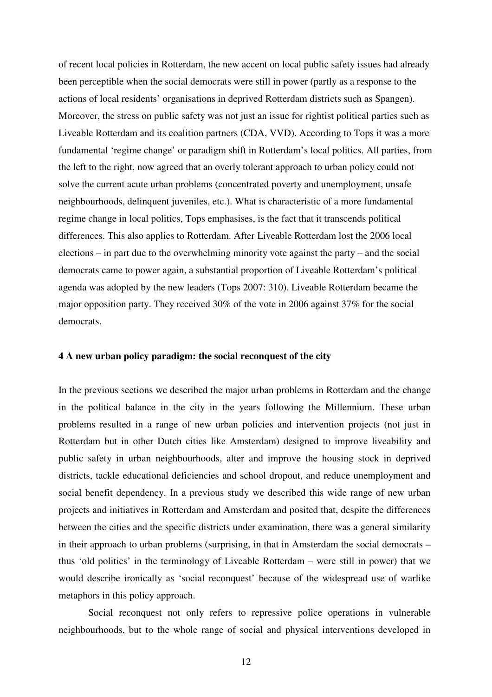of recent local policies in Rotterdam, the new accent on local public safety issues had already been perceptible when the social democrats were still in power (partly as a response to the actions of local residents' organisations in deprived Rotterdam districts such as Spangen). Moreover, the stress on public safety was not just an issue for rightist political parties such as Liveable Rotterdam and its coalition partners (CDA, VVD). According to Tops it was a more fundamental 'regime change' or paradigm shift in Rotterdam's local politics. All parties, from the left to the right, now agreed that an overly tolerant approach to urban policy could not solve the current acute urban problems (concentrated poverty and unemployment, unsafe neighbourhoods, delinquent juveniles, etc.). What is characteristic of a more fundamental regime change in local politics, Tops emphasises, is the fact that it transcends political differences. This also applies to Rotterdam. After Liveable Rotterdam lost the 2006 local elections – in part due to the overwhelming minority vote against the party – and the social democrats came to power again, a substantial proportion of Liveable Rotterdam's political agenda was adopted by the new leaders (Tops 2007: 310). Liveable Rotterdam became the major opposition party. They received 30% of the vote in 2006 against 37% for the social democrats.

# **4 A new urban policy paradigm: the social reconquest of the city**

In the previous sections we described the major urban problems in Rotterdam and the change in the political balance in the city in the years following the Millennium. These urban problems resulted in a range of new urban policies and intervention projects (not just in Rotterdam but in other Dutch cities like Amsterdam) designed to improve liveability and public safety in urban neighbourhoods, alter and improve the housing stock in deprived districts, tackle educational deficiencies and school dropout, and reduce unemployment and social benefit dependency. In a previous study we described this wide range of new urban projects and initiatives in Rotterdam and Amsterdam and posited that, despite the differences between the cities and the specific districts under examination, there was a general similarity in their approach to urban problems (surprising, in that in Amsterdam the social democrats – thus 'old politics' in the terminology of Liveable Rotterdam – were still in power) that we would describe ironically as 'social reconquest' because of the widespread use of warlike metaphors in this policy approach.

Social reconquest not only refers to repressive police operations in vulnerable neighbourhoods, but to the whole range of social and physical interventions developed in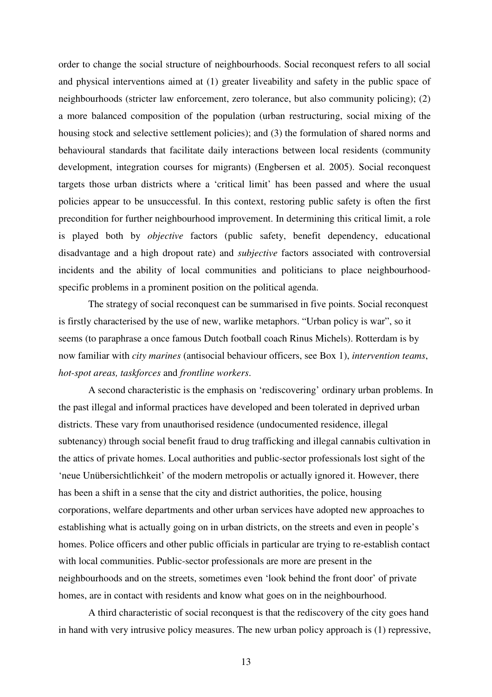order to change the social structure of neighbourhoods. Social reconquest refers to all social and physical interventions aimed at (1) greater liveability and safety in the public space of neighbourhoods (stricter law enforcement, zero tolerance, but also community policing); (2) a more balanced composition of the population (urban restructuring, social mixing of the housing stock and selective settlement policies); and (3) the formulation of shared norms and behavioural standards that facilitate daily interactions between local residents (community development, integration courses for migrants) (Engbersen et al. 2005). Social reconquest targets those urban districts where a 'critical limit' has been passed and where the usual policies appear to be unsuccessful. In this context, restoring public safety is often the first precondition for further neighbourhood improvement. In determining this critical limit, a role is played both by *objective* factors (public safety, benefit dependency, educational disadvantage and a high dropout rate) and *subjective* factors associated with controversial incidents and the ability of local communities and politicians to place neighbourhoodspecific problems in a prominent position on the political agenda.

The strategy of social reconquest can be summarised in five points. Social reconquest is firstly characterised by the use of new, warlike metaphors. "Urban policy is war", so it seems (to paraphrase a once famous Dutch football coach Rinus Michels). Rotterdam is by now familiar with *city marines* (antisocial behaviour officers, see Box 1), *intervention teams*, *hot-spot areas, taskforces* and *frontline workers*.

A second characteristic is the emphasis on 'rediscovering' ordinary urban problems. In the past illegal and informal practices have developed and been tolerated in deprived urban districts. These vary from unauthorised residence (undocumented residence, illegal subtenancy) through social benefit fraud to drug trafficking and illegal cannabis cultivation in the attics of private homes. Local authorities and public-sector professionals lost sight of the 'neue Unübersichtlichkeit' of the modern metropolis or actually ignored it. However, there has been a shift in a sense that the city and district authorities, the police, housing corporations, welfare departments and other urban services have adopted new approaches to establishing what is actually going on in urban districts, on the streets and even in people's homes. Police officers and other public officials in particular are trying to re-establish contact with local communities. Public-sector professionals are more are present in the neighbourhoods and on the streets, sometimes even 'look behind the front door' of private homes, are in contact with residents and know what goes on in the neighbourhood.

A third characteristic of social reconquest is that the rediscovery of the city goes hand in hand with very intrusive policy measures. The new urban policy approach is (1) repressive,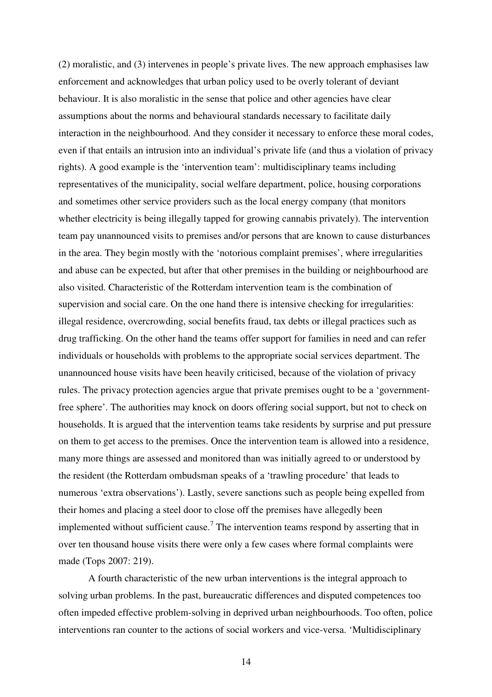(2) moralistic, and (3) intervenes in people's private lives. The new approach emphasises law enforcement and acknowledges that urban policy used to be overly tolerant of deviant behaviour. It is also moralistic in the sense that police and other agencies have clear assumptions about the norms and behavioural standards necessary to facilitate daily interaction in the neighbourhood. And they consider it necessary to enforce these moral codes, even if that entails an intrusion into an individual's private life (and thus a violation of privacy rights). A good example is the 'intervention team': multidisciplinary teams including representatives of the municipality, social welfare department, police, housing corporations and sometimes other service providers such as the local energy company (that monitors whether electricity is being illegally tapped for growing cannabis privately). The intervention team pay unannounced visits to premises and/or persons that are known to cause disturbances in the area. They begin mostly with the 'notorious complaint premises', where irregularities and abuse can be expected, but after that other premises in the building or neighbourhood are also visited. Characteristic of the Rotterdam intervention team is the combination of supervision and social care. On the one hand there is intensive checking for irregularities: illegal residence, overcrowding, social benefits fraud, tax debts or illegal practices such as drug trafficking. On the other hand the teams offer support for families in need and can refer individuals or households with problems to the appropriate social services department. The unannounced house visits have been heavily criticised, because of the violation of privacy rules. The privacy protection agencies argue that private premises ought to be a 'governmentfree sphere'. The authorities may knock on doors offering social support, but not to check on households. It is argued that the intervention teams take residents by surprise and put pressure on them to get access to the premises. Once the intervention team is allowed into a residence, many more things are assessed and monitored than was initially agreed to or understood by the resident (the Rotterdam ombudsman speaks of a 'trawling procedure' that leads to numerous 'extra observations'). Lastly, severe sanctions such as people being expelled from their homes and placing a steel door to close off the premises have allegedly been implemented without sufficient cause.<sup>7</sup> The intervention teams respond by asserting that in over ten thousand house visits there were only a few cases where formal complaints were made (Tops 2007: 219).

A fourth characteristic of the new urban interventions is the integral approach to solving urban problems. In the past, bureaucratic differences and disputed competences too often impeded effective problem-solving in deprived urban neighbourhoods. Too often, police interventions ran counter to the actions of social workers and vice-versa. 'Multidisciplinary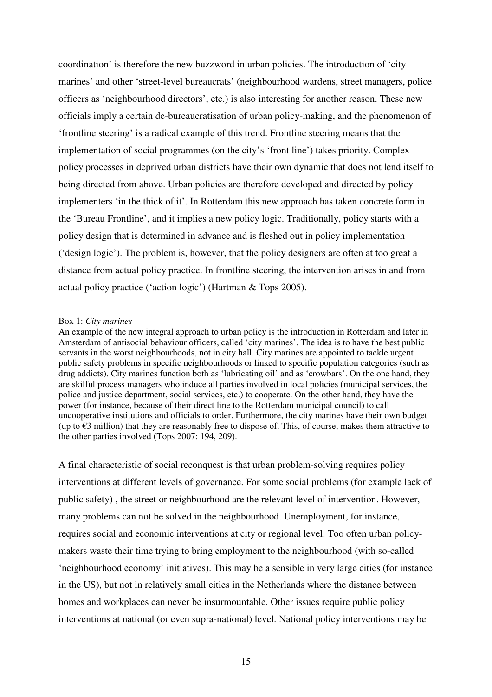coordination' is therefore the new buzzword in urban policies. The introduction of 'city marines' and other 'street-level bureaucrats' (neighbourhood wardens, street managers, police officers as 'neighbourhood directors', etc.) is also interesting for another reason. These new officials imply a certain de-bureaucratisation of urban policy-making, and the phenomenon of 'frontline steering' is a radical example of this trend. Frontline steering means that the implementation of social programmes (on the city's 'front line') takes priority. Complex policy processes in deprived urban districts have their own dynamic that does not lend itself to being directed from above. Urban policies are therefore developed and directed by policy implementers 'in the thick of it'. In Rotterdam this new approach has taken concrete form in the 'Bureau Frontline', and it implies a new policy logic. Traditionally, policy starts with a policy design that is determined in advance and is fleshed out in policy implementation ('design logic'). The problem is, however, that the policy designers are often at too great a distance from actual policy practice. In frontline steering, the intervention arises in and from actual policy practice ('action logic') (Hartman & Tops 2005).

#### Box 1: *City marines*

An example of the new integral approach to urban policy is the introduction in Rotterdam and later in Amsterdam of antisocial behaviour officers, called 'city marines'. The idea is to have the best public servants in the worst neighbourhoods, not in city hall. City marines are appointed to tackle urgent public safety problems in specific neighbourhoods or linked to specific population categories (such as drug addicts). City marines function both as 'lubricating oil' and as 'crowbars'. On the one hand, they are skilful process managers who induce all parties involved in local policies (municipal services, the police and justice department, social services, etc.) to cooperate. On the other hand, they have the power (for instance, because of their direct line to the Rotterdam municipal council) to call uncooperative institutions and officials to order. Furthermore, the city marines have their own budget (up to  $\epsilon$ 3 million) that they are reasonably free to dispose of. This, of course, makes them attractive to the other parties involved (Tops 2007: 194, 209).

A final characteristic of social reconquest is that urban problem-solving requires policy interventions at different levels of governance. For some social problems (for example lack of public safety) , the street or neighbourhood are the relevant level of intervention. However, many problems can not be solved in the neighbourhood. Unemployment, for instance, requires social and economic interventions at city or regional level. Too often urban policymakers waste their time trying to bring employment to the neighbourhood (with so-called 'neighbourhood economy' initiatives). This may be a sensible in very large cities (for instance in the US), but not in relatively small cities in the Netherlands where the distance between homes and workplaces can never be insurmountable. Other issues require public policy interventions at national (or even supra-national) level. National policy interventions may be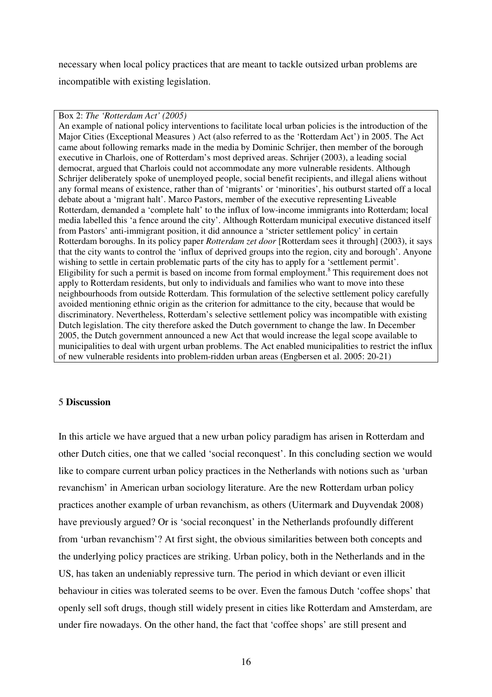necessary when local policy practices that are meant to tackle outsized urban problems are incompatible with existing legislation.

# Box 2: *The 'Rotterdam Act' (2005)*

An example of national policy interventions to facilitate local urban policies is the introduction of the Major Cities (Exceptional Measures ) Act (also referred to as the 'Rotterdam Act') in 2005. The Act came about following remarks made in the media by Dominic Schrijer, then member of the borough executive in Charlois, one of Rotterdam's most deprived areas. Schrijer (2003), a leading social democrat, argued that Charlois could not accommodate any more vulnerable residents. Although Schrijer deliberately spoke of unemployed people, social benefit recipients, and illegal aliens without any formal means of existence, rather than of 'migrants' or 'minorities', his outburst started off a local debate about a 'migrant halt'. Marco Pastors, member of the executive representing Liveable Rotterdam, demanded a 'complete halt' to the influx of low-income immigrants into Rotterdam; local media labelled this 'a fence around the city'. Although Rotterdam municipal executive distanced itself from Pastors' anti-immigrant position, it did announce a 'stricter settlement policy' in certain Rotterdam boroughs. In its policy paper *Rotterdam zet door* [Rotterdam sees it through] (2003), it says that the city wants to control the 'influx of deprived groups into the region, city and borough'. Anyone wishing to settle in certain problematic parts of the city has to apply for a 'settlement permit'. Eligibility for such a permit is based on income from formal employment.<sup>8</sup> This requirement does not apply to Rotterdam residents, but only to individuals and families who want to move into these neighbourhoods from outside Rotterdam. This formulation of the selective settlement policy carefully avoided mentioning ethnic origin as the criterion for admittance to the city, because that would be discriminatory. Nevertheless, Rotterdam's selective settlement policy was incompatible with existing Dutch legislation. The city therefore asked the Dutch government to change the law. In December 2005, the Dutch government announced a new Act that would increase the legal scope available to municipalities to deal with urgent urban problems. The Act enabled municipalities to restrict the influx of new vulnerable residents into problem-ridden urban areas (Engbersen et al. 2005: 20-21)

# 5 **Discussion**

In this article we have argued that a new urban policy paradigm has arisen in Rotterdam and other Dutch cities, one that we called 'social reconquest'. In this concluding section we would like to compare current urban policy practices in the Netherlands with notions such as 'urban revanchism' in American urban sociology literature. Are the new Rotterdam urban policy practices another example of urban revanchism, as others (Uitermark and Duyvendak 2008) have previously argued? Or is 'social reconquest' in the Netherlands profoundly different from 'urban revanchism'? At first sight, the obvious similarities between both concepts and the underlying policy practices are striking. Urban policy, both in the Netherlands and in the US, has taken an undeniably repressive turn. The period in which deviant or even illicit behaviour in cities was tolerated seems to be over. Even the famous Dutch 'coffee shops' that openly sell soft drugs, though still widely present in cities like Rotterdam and Amsterdam, are under fire nowadays. On the other hand, the fact that 'coffee shops' are still present and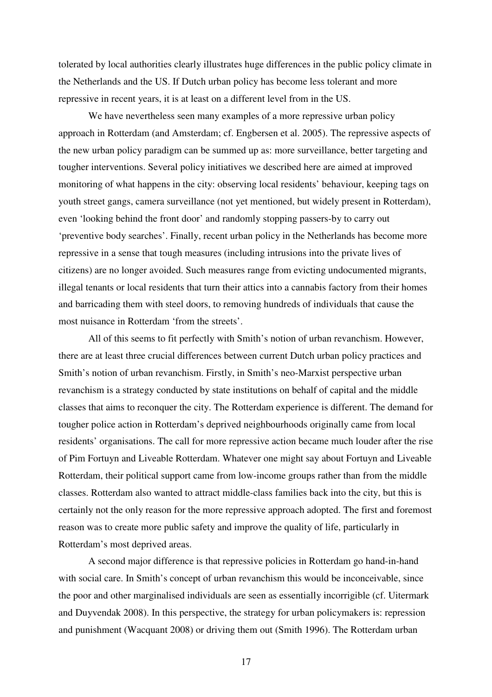tolerated by local authorities clearly illustrates huge differences in the public policy climate in the Netherlands and the US. If Dutch urban policy has become less tolerant and more repressive in recent years, it is at least on a different level from in the US.

We have nevertheless seen many examples of a more repressive urban policy approach in Rotterdam (and Amsterdam; cf. Engbersen et al. 2005). The repressive aspects of the new urban policy paradigm can be summed up as: more surveillance, better targeting and tougher interventions. Several policy initiatives we described here are aimed at improved monitoring of what happens in the city: observing local residents' behaviour, keeping tags on youth street gangs, camera surveillance (not yet mentioned, but widely present in Rotterdam), even 'looking behind the front door' and randomly stopping passers-by to carry out 'preventive body searches'. Finally, recent urban policy in the Netherlands has become more repressive in a sense that tough measures (including intrusions into the private lives of citizens) are no longer avoided. Such measures range from evicting undocumented migrants, illegal tenants or local residents that turn their attics into a cannabis factory from their homes and barricading them with steel doors, to removing hundreds of individuals that cause the most nuisance in Rotterdam 'from the streets'.

All of this seems to fit perfectly with Smith's notion of urban revanchism. However, there are at least three crucial differences between current Dutch urban policy practices and Smith's notion of urban revanchism. Firstly, in Smith's neo-Marxist perspective urban revanchism is a strategy conducted by state institutions on behalf of capital and the middle classes that aims to reconquer the city. The Rotterdam experience is different. The demand for tougher police action in Rotterdam's deprived neighbourhoods originally came from local residents' organisations. The call for more repressive action became much louder after the rise of Pim Fortuyn and Liveable Rotterdam. Whatever one might say about Fortuyn and Liveable Rotterdam, their political support came from low-income groups rather than from the middle classes. Rotterdam also wanted to attract middle-class families back into the city, but this is certainly not the only reason for the more repressive approach adopted. The first and foremost reason was to create more public safety and improve the quality of life, particularly in Rotterdam's most deprived areas.

A second major difference is that repressive policies in Rotterdam go hand-in-hand with social care. In Smith's concept of urban revanchism this would be inconceivable, since the poor and other marginalised individuals are seen as essentially incorrigible (cf. Uitermark and Duyvendak 2008). In this perspective, the strategy for urban policymakers is: repression and punishment (Wacquant 2008) or driving them out (Smith 1996). The Rotterdam urban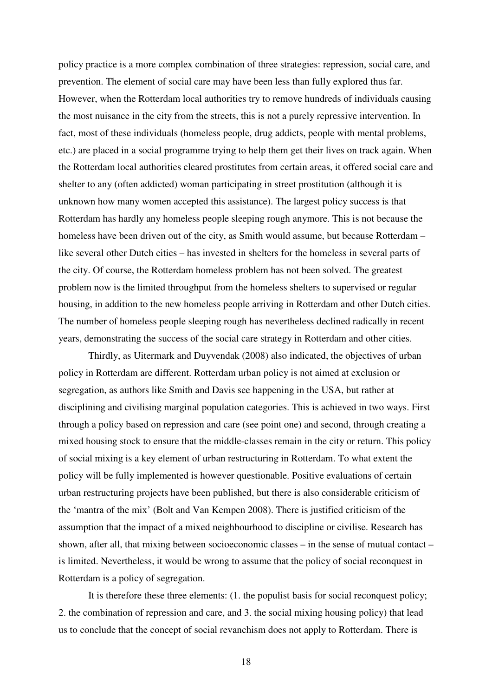policy practice is a more complex combination of three strategies: repression, social care, and prevention. The element of social care may have been less than fully explored thus far. However, when the Rotterdam local authorities try to remove hundreds of individuals causing the most nuisance in the city from the streets, this is not a purely repressive intervention. In fact, most of these individuals (homeless people, drug addicts, people with mental problems, etc.) are placed in a social programme trying to help them get their lives on track again. When the Rotterdam local authorities cleared prostitutes from certain areas, it offered social care and shelter to any (often addicted) woman participating in street prostitution (although it is unknown how many women accepted this assistance). The largest policy success is that Rotterdam has hardly any homeless people sleeping rough anymore. This is not because the homeless have been driven out of the city, as Smith would assume, but because Rotterdam – like several other Dutch cities – has invested in shelters for the homeless in several parts of the city. Of course, the Rotterdam homeless problem has not been solved. The greatest problem now is the limited throughput from the homeless shelters to supervised or regular housing, in addition to the new homeless people arriving in Rotterdam and other Dutch cities. The number of homeless people sleeping rough has nevertheless declined radically in recent years, demonstrating the success of the social care strategy in Rotterdam and other cities.

Thirdly, as Uitermark and Duyvendak (2008) also indicated, the objectives of urban policy in Rotterdam are different. Rotterdam urban policy is not aimed at exclusion or segregation, as authors like Smith and Davis see happening in the USA, but rather at disciplining and civilising marginal population categories. This is achieved in two ways. First through a policy based on repression and care (see point one) and second, through creating a mixed housing stock to ensure that the middle-classes remain in the city or return. This policy of social mixing is a key element of urban restructuring in Rotterdam. To what extent the policy will be fully implemented is however questionable. Positive evaluations of certain urban restructuring projects have been published, but there is also considerable criticism of the 'mantra of the mix' (Bolt and Van Kempen 2008). There is justified criticism of the assumption that the impact of a mixed neighbourhood to discipline or civilise. Research has shown, after all, that mixing between socioeconomic classes – in the sense of mutual contact – is limited. Nevertheless, it would be wrong to assume that the policy of social reconquest in Rotterdam is a policy of segregation.

It is therefore these three elements: (1. the populist basis for social reconquest policy; 2. the combination of repression and care, and 3. the social mixing housing policy) that lead us to conclude that the concept of social revanchism does not apply to Rotterdam. There is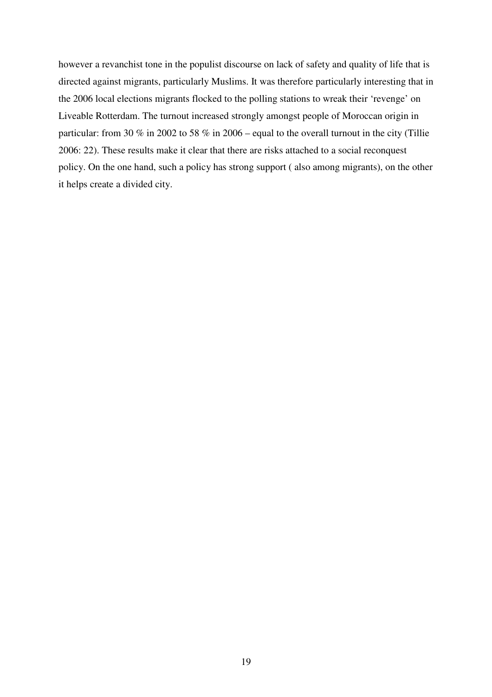however a revanchist tone in the populist discourse on lack of safety and quality of life that is directed against migrants, particularly Muslims. It was therefore particularly interesting that in the 2006 local elections migrants flocked to the polling stations to wreak their 'revenge' on Liveable Rotterdam. The turnout increased strongly amongst people of Moroccan origin in particular: from 30 % in 2002 to 58 % in 2006 – equal to the overall turnout in the city (Tillie 2006: 22). These results make it clear that there are risks attached to a social reconquest policy. On the one hand, such a policy has strong support ( also among migrants), on the other it helps create a divided city.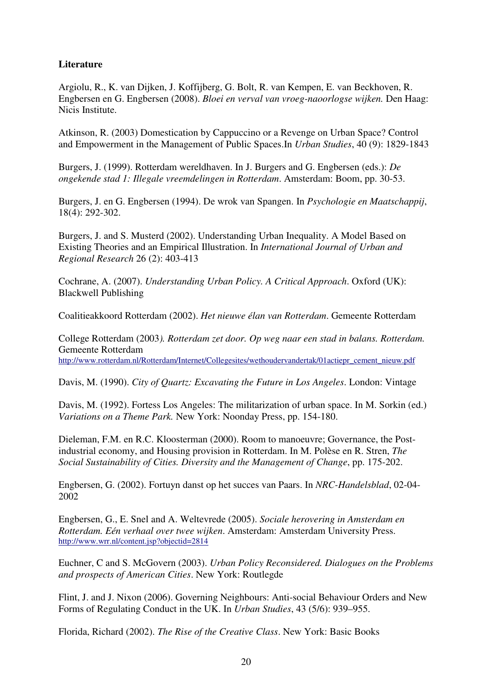# **Literature**

Argiolu, R., K. van Dijken, J. Koffijberg, G. Bolt, R. van Kempen, E. van Beckhoven, R. Engbersen en G. Engbersen (2008). *Bloei en verval van vroeg-naoorlogse wijken.* Den Haag: Nicis Institute.

Atkinson, R. (2003) Domestication by Cappuccino or a Revenge on Urban Space? Control and Empowerment in the Management of Public Spaces.In *Urban Studies*, 40 (9): 1829-1843

Burgers, J. (1999). Rotterdam wereldhaven. In J. Burgers and G. Engbersen (eds.): *De ongekende stad 1: Illegale vreemdelingen in Rotterdam*. Amsterdam: Boom, pp. 30-53.

Burgers, J. en G. Engbersen (1994). De wrok van Spangen. In *Psychologie en Maatschappij*, 18(4): 292-302.

Burgers, J. and S. Musterd (2002). Understanding Urban Inequality. A Model Based on Existing Theories and an Empirical Illustration. In *International Journal of Urban and Regional Research* 26 (2): 403-413

Cochrane, A. (2007). *Understanding Urban Policy. A Critical Approach*. Oxford (UK): Blackwell Publishing

Coalitieakkoord Rotterdam (2002). *Het nieuwe élan van Rotterdam*. Gemeente Rotterdam

College Rotterdam (2003*). Rotterdam zet door. Op weg naar een stad in balans. Rotterdam.* Gemeente Rotterdam http://www.rotterdam.nl/Rotterdam/Internet/Collegesites/wethoudervandertak/01actiepr\_cement\_nieuw.pdf

Davis, M. (1990). *City of Quartz: Excavating the Future in Los Angeles*. London: Vintage

Davis, M. (1992). Fortess Los Angeles: The militarization of urban space. In M. Sorkin (ed.) *Variations on a Theme Park.* New York: Noonday Press, pp. 154-180.

Dieleman, F.M. en R.C. Kloosterman (2000). Room to manoeuvre; Governance, the Postindustrial economy, and Housing provision in Rotterdam. In M. Polèse en R. Stren, *The Social Sustainability of Cities. Diversity and the Management of Change*, pp. 175-202.

Engbersen, G. (2002). Fortuyn danst op het succes van Paars. In *NRC-Handelsblad*, 02-04- 2002

Engbersen, G., E. Snel and A. Weltevrede (2005). *Sociale herovering in Amsterdam en Rotterdam. Eén verhaal over twee wijken*. Amsterdam: Amsterdam University Press. http://www.wrr.nl/content.jsp?objectid=2814

Euchner, C and S. McGovern (2003). *Urban Policy Reconsidered. Dialogues on the Problems and prospects of American Cities*. New York: Routlegde

Flint, J. and J. Nixon (2006). Governing Neighbours: Anti-social Behaviour Orders and New Forms of Regulating Conduct in the UK. In *Urban Studies*, 43 (5/6): 939–955.

Florida, Richard (2002). *The Rise of the Creative Class*. New York: Basic Books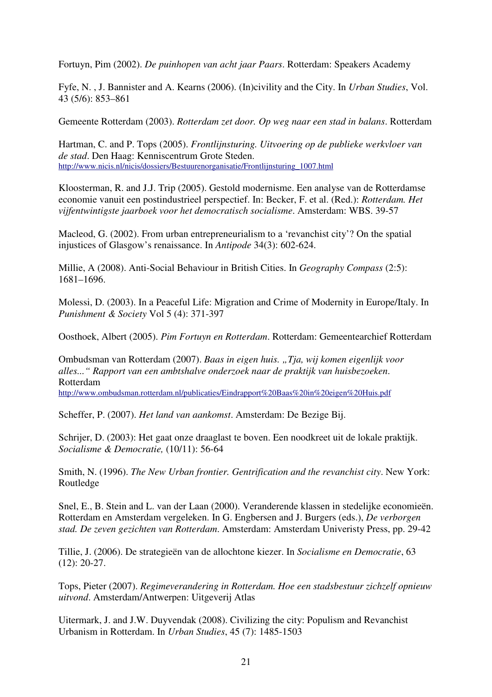Fortuyn, Pim (2002). *De puinhopen van acht jaar Paars*. Rotterdam: Speakers Academy

Fyfe, N. , J. Bannister and A. Kearns (2006). (In)civility and the City. In *Urban Studies*, Vol. 43 (5/6): 853–861

Gemeente Rotterdam (2003). *Rotterdam zet door. Op weg naar een stad in balans*. Rotterdam

Hartman, C. and P. Tops (2005). *Frontlijnsturing. Uitvoering op de publieke werkvloer van de stad*. Den Haag: Kenniscentrum Grote Steden. http://www.nicis.nl/nicis/dossiers/Bestuurenorganisatie/Frontlijnsturing\_1007.html

Kloosterman, R. and J.J. Trip (2005). Gestold modernisme. Een analyse van de Rotterdamse economie vanuit een postindustrieel perspectief. In: Becker, F. et al. (Red.): *Rotterdam. Het vijfentwintigste jaarboek voor het democratisch socialisme*. Amsterdam: WBS. 39-57

Macleod, G. (2002). From urban entrepreneurialism to a 'revanchist city'? On the spatial injustices of Glasgow's renaissance. In *Antipode* 34(3): 602-624.

Millie, A (2008). Anti-Social Behaviour in British Cities. In *Geography Compass* (2:5): 1681–1696.

Molessi, D. (2003). In a Peaceful Life: Migration and Crime of Modernity in Europe/Italy. In *Punishment & Society* Vol 5 (4): 371-397

Oosthoek, Albert (2005). *Pim Fortuyn en Rotterdam*. Rotterdam: Gemeentearchief Rotterdam

Ombudsman van Rotterdam (2007). *Baas in eigen huis. "Tja, wij komen eigenlijk voor alles..." Rapport van een ambtshalve onderzoek naar de praktijk van huisbezoeken*. Rotterdam http://www.ombudsman.rotterdam.nl/publicaties/Eindrapport%20Baas%20in%20eigen%20Huis.pdf

Scheffer, P. (2007). *Het land van aankomst*. Amsterdam: De Bezige Bij.

Schrijer, D. (2003): Het gaat onze draaglast te boven. Een noodkreet uit de lokale praktijk. *Socialisme & Democratie,* (10/11): 56-64

Smith, N. (1996). *The New Urban frontier. Gentrification and the revanchist city*. New York: Routledge

Snel, E., B. Stein and L. van der Laan (2000). Veranderende klassen in stedelijke economieën. Rotterdam en Amsterdam vergeleken. In G. Engbersen and J. Burgers (eds.), *De verborgen stad. De zeven gezichten van Rotterdam*. Amsterdam: Amsterdam Univeristy Press, pp. 29-42

Tillie, J. (2006). De strategieën van de allochtone kiezer. In *Socialisme en Democratie*, 63 (12): 20-27.

Tops, Pieter (2007). *Regimeverandering in Rotterdam. Hoe een stadsbestuur zichzelf opnieuw uitvond*. Amsterdam/Antwerpen: Uitgeverij Atlas

Uitermark, J. and J.W. Duyvendak (2008). Civilizing the city: Populism and Revanchist Urbanism in Rotterdam. In *Urban Studies*, 45 (7): 1485-1503